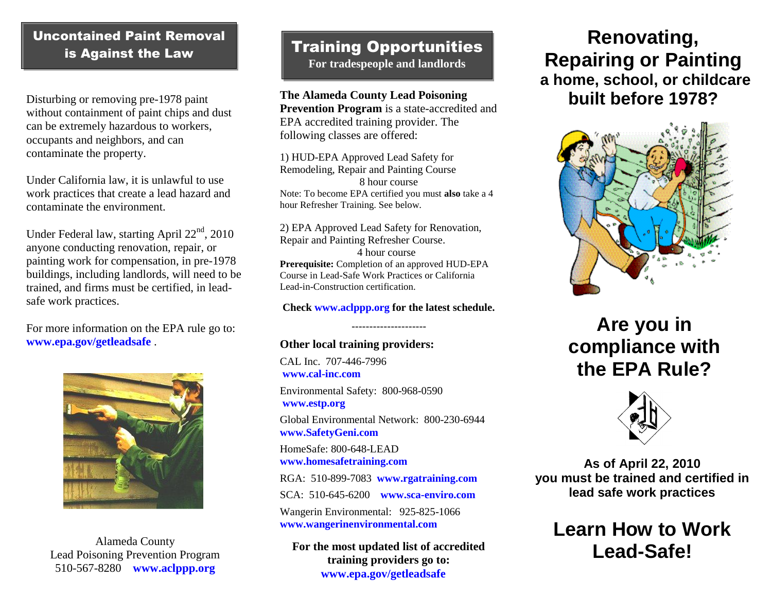# Uncontained Paint Removal is Against the Law

Disturbing or removing pre-1978 paint without containment of paint chips and dust can be extremely hazardous to workers, occupants and neighbors, and can contaminate the property.

Under California law, it is unlawful to use work practices that create a lead hazard and contaminate the environment.

Under Federal law, starting April  $22<sup>nd</sup>$ , 2010 anyone conducting renovation, repair, or painting work for compensation, in pre-1978 buildings, including landlords, will need to be trained, and firms must be certified, in leadsafe work practices.

For more information on the EPA rule go to: **[www.epa.gov/getleadsafe](http://www.epa.gov/getleadsafe)** .



Alameda County Lead Poisoning Prevention Program 510-567-8280 **[www.aclppp.org](http://www.aclppp.org/)**

# Training Opportunities

**For tradespeople and landlords**

ļ

**The Alameda County Lead Poisoning Prevention Program** is a state-accredited and EPA accredited training provider. The following classes are offered:

1) HUD-EPA Approved Lead Safety for Remodeling, Repair and Painting Course 8 hour course Note: To become EPA certified you must **also** take a 4 hour Refresher Training. See below.

2) EPA Approved Lead Safety for Renovation, Repair and Painting Refresher Course. 4 hour course **Prerequisite:** Completion of an approved HUD-EPA Course in Lead-Safe Work Practices or California Lead-in-Construction certification.

#### **Check [www.aclppp.org](http://www.aclppp.org/) for the latest schedule.**

#### --------------------- **Other local training providers:**

CAL Inc. 707-446-7996 **[www.cal-inc.com](http://www.cal-inc.com/)** Environmental Safety: 800-968-0590 **[www.estp.org](http://www.estp.org/)** Global Environmental Network: 800-230-6944 **[www.SafetyGeni.com](http://www.safetygeni.com/)** HomeSafe: 800-648-LEAD **[www.homesafetraining.com](http://www.homesafetraining.com/)** RGA: 510-899-7083 **[www.rgatraining.com](http://www.rgatraining.com/)** SCA: 510-645-6200 **[www.sca-enviro.com](http://www.sca-enviro.com/)** Wangerin Environmental: 925-825-1066 **[www.wangerinenvironmental.com](http://www.wangerinenvironmental.com/)**

**For the most updated list of accredited training providers go to: [www.epa.gov/getleadsafe](http://www.epa.gov/getleadsafe)**

# **Renovating, Repairing or Painting a home, school, or childcare built before 1978?**



# **Are you in compliance with the EPA Rule?**



**As of April 22, 2010 you must be trained and certified in lead safe work practices**

**Learn How to Work Lead-Safe!**